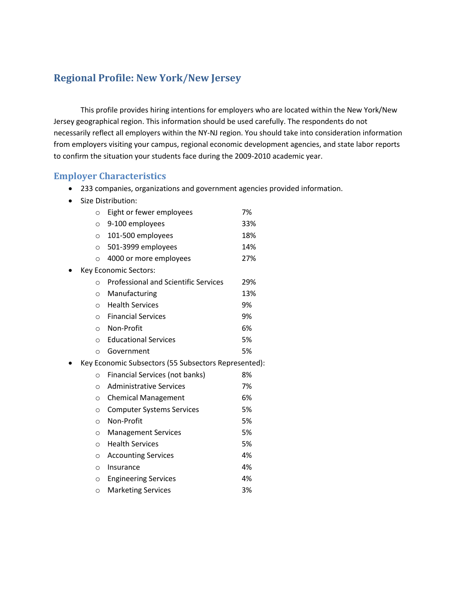#### **Regional Profile: New York/New Jersey**

This profile provides hiring intentions for employers who are located within the New York/New Jersey geographical region. This information should be used carefully. The respondents do not necessarily reflect all employers within the NY-NJ region. You should take into consideration information from employers visiting your campus, regional economic development agencies, and state labor reports to confirm the situation your students face during the 2009-2010 academic year.

#### **Employer Characteristics**

- 233 companies, organizations and government agencies provided information.
- Size Distribution:

| $\circ$ | Eight or fewer employees                             | 7%  |
|---------|------------------------------------------------------|-----|
| $\circ$ | 9-100 employees                                      | 33% |
| $\circ$ | 101-500 employees                                    | 18% |
| $\circ$ | 501-3999 employees                                   | 14% |
| $\circ$ | 4000 or more employees                               | 27% |
|         | Key Economic Sectors:                                |     |
| $\circ$ | <b>Professional and Scientific Services</b>          | 29% |
| $\circ$ | Manufacturing                                        | 13% |
| $\circ$ | <b>Health Services</b>                               | 9%  |
| $\circ$ | <b>Financial Services</b>                            | 9%  |
| $\circ$ | Non-Profit                                           | 6%  |
| $\circ$ | <b>Educational Services</b>                          | 5%  |
| $\circ$ | Government                                           | 5%  |
|         | Key Economic Subsectors (55 Subsectors Represented): |     |
| $\circ$ | Financial Services (not banks)                       | 8%  |
| $\circ$ | <b>Administrative Services</b>                       | 7%  |
| $\circ$ | <b>Chemical Management</b>                           | 6%  |
| $\circ$ | <b>Computer Systems Services</b>                     | 5%  |
| $\circ$ | Non-Profit                                           | 5%  |
| $\circ$ | <b>Management Services</b>                           | 5%  |
| $\circ$ | <b>Health Services</b>                               | 5%  |
| $\circ$ | <b>Accounting Services</b>                           | 4%  |
| $\circ$ | Insurance                                            | 4%  |
| $\circ$ | <b>Engineering Services</b>                          | 4%  |
| $\circ$ | <b>Marketing Services</b>                            | 3%  |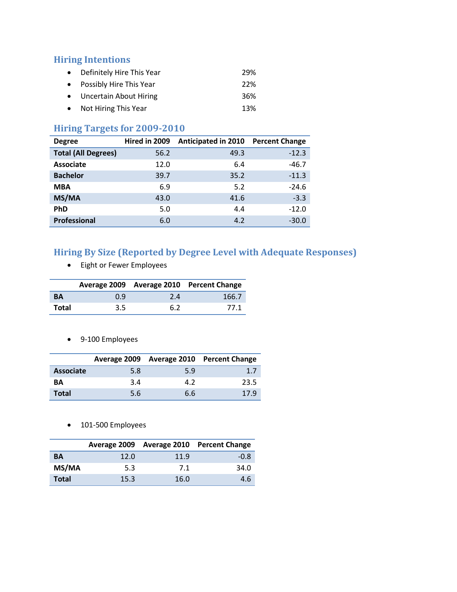#### **Hiring Intentions**

- Definitely Hire This Year 29% • Possibly Hire This Year 22% Uncertain About Hiring 36%
- Not Hiring This Year 13%

### **Hiring Targets for 2009-2010**

| <b>Degree</b>              | Hired in 2009 | <b>Anticipated in 2010</b> | <b>Percent Change</b> |
|----------------------------|---------------|----------------------------|-----------------------|
| <b>Total (All Degrees)</b> | 56.2          | 49.3                       | $-12.3$               |
| <b>Associate</b>           | 12.0          | 6.4                        | $-46.7$               |
| <b>Bachelor</b>            | 39.7          | 35.2                       | $-11.3$               |
| <b>MBA</b>                 | 6.9           | 5.2                        | $-24.6$               |
| MS/MA                      | 43.0          | 41.6                       | $-3.3$                |
| <b>PhD</b>                 | 5.0           | 4.4                        | $-12.0$               |
| <b>Professional</b>        | 6.0           | 4.2                        | $-30.0$               |

## **Hiring By Size (Reported by Degree Level with Adequate Responses)**

Eight or Fewer Employees

|           |               |     | Average 2009 Average 2010 Percent Change |
|-----------|---------------|-----|------------------------------------------|
| <b>BA</b> | 0.9           | 2.4 | 166.7                                    |
| Total     | $3.5^{\circ}$ | 6.2 | 77.1                                     |

9-100 Employees

|                  |     |     | Average 2009 Average 2010 Percent Change |
|------------------|-----|-----|------------------------------------------|
| <b>Associate</b> | 5.8 | 5.9 | 1.7                                      |
| <b>BA</b>        | 3.4 | 4.2 | 23.5                                     |
| <b>Total</b>     | 5.6 | 6.6 | 17.9                                     |

• 101-500 Employees

|       |      |      | Average 2009 Average 2010 Percent Change |
|-------|------|------|------------------------------------------|
| BА    | 12.0 | 11.9 | $-0.8$                                   |
| MS/MA | 5.3  | 7.1  | 34.0                                     |
| Total | 15.3 | 16.0 | 4 h                                      |